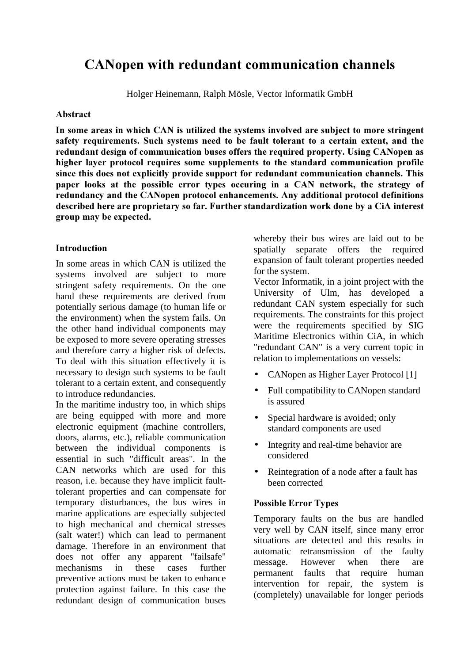# CANopen with redundant communication channels

Holger Heinemann, Ralph Mösle, Vector Informatik GmbH

## Abstract

In some areas in which CAN is utilized the systems involved are subject to more stringent safety requirements. Such systems need to be fault tolerant to a certain extent, and the redundant design of communication buses offers the required property. Using CANopen as higher layer protocol requires some supplements to the standard communication profile since this does not explicitly provide support for redundant communication channels. This paper looks at the possible error types occuring in a CAN network, the strategy of redundancy and the CANopen protocol enhancements. Any additional protocol definitions described here are proprietary so far. Further standardization work done by a CiA interest group may be expected.

## **Introduction**

In some areas in which CAN is utilized the systems involved are subject to more stringent safety requirements. On the one hand these requirements are derived from potentially serious damage (to human life or the environment) when the system fails. On the other hand individual components may be exposed to more severe operating stresses and therefore carry a higher risk of defects. To deal with this situation effectively it is necessary to design such systems to be fault tolerant to a certain extent, and consequently to introduce redundancies.

In the maritime industry too, in which ships are being equipped with more and more electronic equipment (machine controllers, doors, alarms, etc.), reliable communication between the individual components is essential in such "difficult areas". In the CAN networks which are used for this reason, i.e. because they have implicit faulttolerant properties and can compensate for temporary disturbances, the bus wires in marine applications are especially subjected to high mechanical and chemical stresses (salt water!) which can lead to permanent damage. Therefore in an environment that does not offer any apparent "failsafe" mechanisms in these cases further preventive actions must be taken to enhance protection against failure. In this case the redundant design of communication buses

whereby their bus wires are laid out to be spatially separate offers the required expansion of fault tolerant properties needed for the system.

Vector Informatik, in a joint project with the University of Ulm, has developed a redundant CAN system especially for such requirements. The constraints for this project were the requirements specified by SIG Maritime Electronics within CiA, in which "redundant CAN" is a very current topic in relation to implementations on vessels:

- CANopen as Higher Layer Protocol [1]
- Full compatibility to CANopen standard is assured
- Special hardware is avoided; only standard components are used
- Integrity and real-time behavior are considered
- Reintegration of a node after a fault has been corrected

# Possible Error Types

Temporary faults on the bus are handled very well by CAN itself, since many error situations are detected and this results in automatic retransmission of the faulty message. However when there are permanent faults that require human intervention for repair, the system is (completely) unavailable for longer periods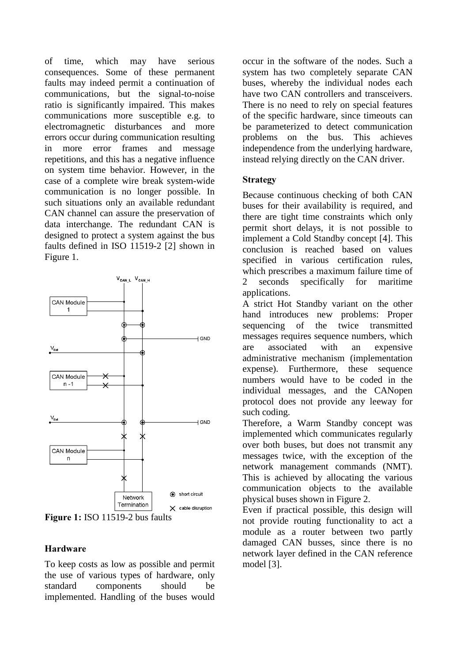of time, which may have serious consequences. Some of these permanent faults may indeed permit a continuation of communications, but the signal-to-noise ratio is significantly impaired. This makes communications more susceptible e.g. to electromagnetic disturbances and more errors occur during communication resulting in more error frames and message repetitions, and this has a negative influence on system time behavior. However, in the case of a complete wire break system-wide communication is no longer possible. In such situations only an available redundant CAN channel can assure the preservation of data interchange. The redundant CAN is designed to protect a system against the bus faults defined in ISO 11519-2 [2] shown in Figure 1.



Figure 1: ISO 11519-2 bus faults

## Hardware

To keep costs as low as possible and permit the use of various types of hardware, only standard components should be implemented. Handling of the buses would

occur in the software of the nodes. Such a system has two completely separate CAN buses, whereby the individual nodes each have two CAN controllers and transceivers. There is no need to rely on special features of the specific hardware, since timeouts can be parameterized to detect communication problems on the bus. This achieves independence from the underlying hardware, instead relying directly on the CAN driver.

## Strategy

Because continuous checking of both CAN buses for their availability is required, and there are tight time constraints which only permit short delays, it is not possible to implement a Cold Standby concept [4]. This conclusion is reached based on values specified in various certification rules, which prescribes a maximum failure time of 2 seconds specifically for maritime applications.

A strict Hot Standby variant on the other hand introduces new problems: Proper sequencing of the twice transmitted messages requires sequence numbers, which are associated with an expensive administrative mechanism (implementation expense). Furthermore, these sequence numbers would have to be coded in the individual messages, and the CANopen protocol does not provide any leeway for such coding.

Therefore, a Warm Standby concept was implemented which communicates regularly over both buses, but does not transmit any messages twice, with the exception of the network management commands (NMT). This is achieved by allocating the various communication objects to the available physical buses shown in Figure 2.

Even if practical possible, this design will not provide routing functionality to act a module as a router between two partly damaged CAN busses, since there is no network layer defined in the CAN reference model [3].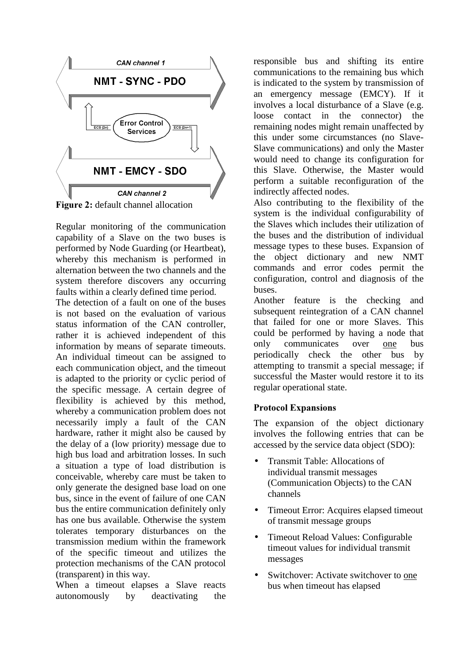

**Figure 2:** default channel allocation

Regular monitoring of the communication capability of a Slave on the two buses is performed by Node Guarding (or Heartbeat), whereby this mechanism is performed in alternation between the two channels and the system therefore discovers any occurring faults within a clearly defined time period.

The detection of a fault on one of the buses is not based on the evaluation of various status information of the CAN controller, rather it is achieved independent of this information by means of separate timeouts. An individual timeout can be assigned to each communication object, and the timeout is adapted to the priority or cyclic period of the specific message. A certain degree of flexibility is achieved by this method, whereby a communication problem does not necessarily imply a fault of the CAN hardware, rather it might also be caused by the delay of a (low priority) message due to high bus load and arbitration losses. In such a situation a type of load distribution is conceivable, whereby care must be taken to only generate the designed base load on one bus, since in the event of failure of one CAN bus the entire communication definitely only has one bus available. Otherwise the system tolerates temporary disturbances on the transmission medium within the framework of the specific timeout and utilizes the protection mechanisms of the CAN protocol (transparent) in this way.

When a timeout elapses a Slave reacts autonomously by deactivating the responsible bus and shifting its entire communications to the remaining bus which is indicated to the system by transmission of an emergency message (EMCY). If it involves a local disturbance of a Slave (e.g. loose contact in the connector) the remaining nodes might remain unaffected by this under some circumstances (no Slave-Slave communications) and only the Master would need to change its configuration for this Slave. Otherwise, the Master would perform a suitable reconfiguration of the indirectly affected nodes.

Also contributing to the flexibility of the system is the individual configurability of the Slaves which includes their utilization of the buses and the distribution of individual message types to these buses. Expansion of the object dictionary and new NMT commands and error codes permit the configuration, control and diagnosis of the buses.

Another feature is the checking and subsequent reintegration of a CAN channel that failed for one or more Slaves. This could be performed by having a node that only communicates over one bus periodically check the other bus by attempting to transmit a special message; if successful the Master would restore it to its regular operational state.

# **Protocol Expansions**

The expansion of the object dictionary involves the following entries that can be accessed by the service data object (SDO):

- Transmit Table: Allocations of individual transmit messages (Communication Objects) to the CAN channels
- Timeout Error: Acquires elapsed timeout of transmit message groups
- Timeout Reload Values: Configurable timeout values for individual transmit messages
- Switchover: Activate switchover to one bus when timeout has elapsed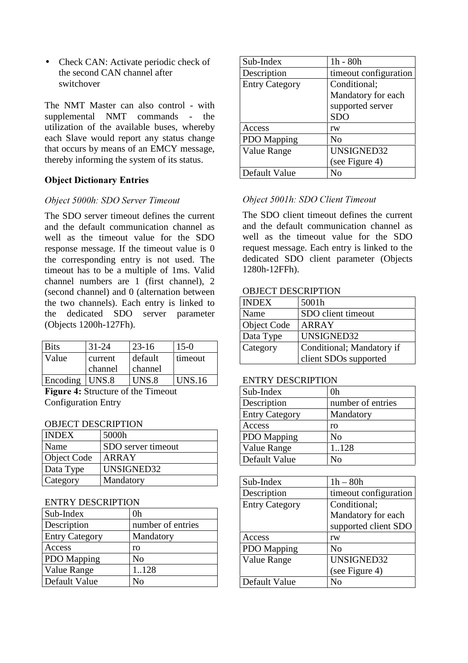• Check CAN: Activate periodic check of the second CAN channel after switchover

The NMT Master can also control - with supplemental NMT commands - the utilization of the available buses, whereby each Slave would report any status change that occurs by means of an EMCY message, thereby informing the system of its status.

# **Object Dictionary Entries**

## Object 5000h: SDO Server Timeout

The SDO server timeout defines the current and the default communication channel as well as the timeout value for the SDO response message. If the timeout value is 0 the corresponding entry is not used. The timeout has to be a multiple of 1ms. Valid channel numbers are 1 (first channel), 2 (second channel) and 0 (alternation between the two channels). Each entry is linked to the dedicated SDO server parameter (Objects 1200h-127Fh).

| <b>Bits</b> | $31 - 24$ | $23 - 16$ | $15-0$        |
|-------------|-----------|-----------|---------------|
| Value       | current   | default   | timeout       |
|             | channel   | ∣ channel |               |
| Encoding    | UNS.8     | UNS.8     | <b>UNS.16</b> |

Figure 4: Structure of the Timeout Configuration Entry

## OBJECT DESCRIPTION

| $\sim$ 200 $\sim$ 400 $\sim$ 400 $\sim$ 400 $\sim$ 400 $\sim$ |                    |
|---------------------------------------------------------------|--------------------|
| <b>INDEX</b>                                                  | 5000h              |
| Name                                                          | SDO server timeout |
| <b>Object Code</b>                                            | ARRAY              |
| Data Type                                                     | UNSIGNED32         |
| Category                                                      | Mandatory          |

#### ENTRY DESCRIPTION

| Sub-Index             | 0h                |
|-----------------------|-------------------|
| Description           | number of entries |
| <b>Entry Category</b> | Mandatory         |
| Access                | ro                |
| <b>PDO</b> Mapping    | N <sub>0</sub>    |
| <b>Value Range</b>    | 1.128             |
| Default Value         | Nο                |

| Sub-Index             | $1h - 80h$            |
|-----------------------|-----------------------|
| Description           | timeout configuration |
| <b>Entry Category</b> | Conditional;          |
|                       | Mandatory for each    |
|                       | supported server      |
|                       | <b>SDO</b>            |
| Access                | rw                    |
| <b>PDO</b> Mapping    | N <sub>0</sub>        |
| Value Range           | UNSIGNED32            |
|                       | (see Figure 4)        |
| Default Value         | $\rm N_O$             |

# Object 5001h: SDO Client Timeout

The SDO client timeout defines the current and the default communication channel as well as the timeout value for the SDO request message. Each entry is linked to the dedicated SDO client parameter (Objects 1280h-12FFh).

## OBJECT DESCRIPTION

| <b>INDEX</b>       | 5001h                     |
|--------------------|---------------------------|
| Name               | SDO client timeout        |
| <b>Object Code</b> | ARRAY                     |
| Data Type          | UNSIGNED32                |
| Category           | Conditional; Mandatory if |
|                    | client SDOs supported     |

#### ENTRY DESCRIPTION

| Sub-Index             | 0h                |
|-----------------------|-------------------|
| Description           | number of entries |
| <b>Entry Category</b> | Mandatory         |
| Access                | ro                |
| <b>PDO</b> Mapping    | N <sub>o</sub>    |
| <b>Value Range</b>    | 1.128             |
| Default Value         | N٥                |

| $1h - 80h$            |
|-----------------------|
| timeout configuration |
| Conditional;          |
| Mandatory for each    |
| supported client SDO  |
| rw                    |
| N <sub>0</sub>        |
| UNSIGNED32            |
| (see Figure 4)        |
| Nο                    |
|                       |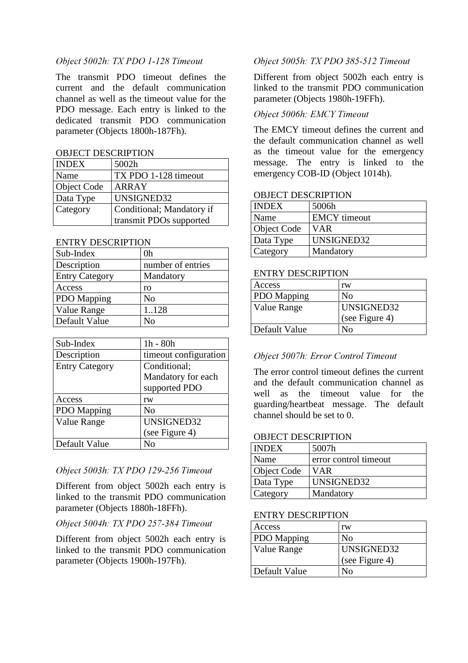## Object 5002h: TX PDO 1-128 Timeout

The transmit PDO timeout defines the current and the default communication channel as well as the timeout value for the PDO message. Each entry is linked to the dedicated transmit PDO communication parameter (Objects 1800h-187Fh).

## OBJECT DESCRIPTION

| <b>INDEX</b> | 5002h                     |
|--------------|---------------------------|
| Name         | TX PDO 1-128 timeout      |
| Object Code  | ARRAY                     |
| Data Type    | UNSIGNED32                |
| Category     | Conditional; Mandatory if |
|              | transmit PDOs supported   |

## ENTRY DESCRIPTION

| 0h                |
|-------------------|
| number of entries |
| Mandatory         |
| ro                |
| N <sub>0</sub>    |
| 1128              |
| Nο                |
|                   |

| Sub-Index             | $1h - 80h$            |
|-----------------------|-----------------------|
| Description           | timeout configuration |
| <b>Entry Category</b> | Conditional;          |
|                       | Mandatory for each    |
|                       | supported PDO         |
| Access                | rw                    |
| <b>PDO</b> Mapping    | N <sub>0</sub>        |
| Value Range           | UNSIGNED32            |
|                       | (see Figure 4)        |
| Default Value         | N٥                    |

## Object 5003h: TX PDO 129-256 Timeout

Different from object 5002h each entry is linked to the transmit PDO communication parameter (Objects 1880h-18FFh).

## Object 5004h: TX PDO 257-384 Timeout

Different from object 5002h each entry is linked to the transmit PDO communication parameter (Objects 1900h-197Fh).

# Object 5005h: TX PDO 385-512 Timeout

Different from object 5002h each entry is linked to the transmit PDO communication parameter (Objects 1980h-19FFh).

# Object 5006h: EMCY Timeout

The EMCY timeout defines the current and the default communication channel as well as the timeout value for the emergency message. The entry is linked to the emergency COB-ID (Object 1014h).

## OBJECT DESCRIPTION

| <b>INDEX</b> | 5006h               |
|--------------|---------------------|
| Name         | <b>EMCY</b> timeout |
| Object Code  | <b>VAR</b>          |
| Data Type    | UNSIGNED32          |
| Category     | Mandatory           |

## ENTRY DESCRIPTION

| Access             | rw             |
|--------------------|----------------|
| <b>PDO</b> Mapping | Nο             |
| Value Range        | UNSIGNED32     |
|                    | (see Figure 4) |
| Default Value      | Nο             |

# Object 5007h: Error Control Timeout

The error control timeout defines the current and the default communication channel as well as the timeout value for the guarding/heartbeat message. The default channel should be set to 0.

## OBJECT DESCRIPTION

| <b>INDEX</b>       | 5007h                 |
|--------------------|-----------------------|
| Name               | error control timeout |
| <b>Object Code</b> | <b>VAR</b>            |
| Data Type          | UNSIGNED32            |
| Category           | Mandatory             |

## ENTRY DESCRIPTION

| Access             | rw             |
|--------------------|----------------|
| <b>PDO</b> Mapping | No             |
| Value Range        | UNSIGNED32     |
|                    | (see Figure 4) |
| Default Value      | Nο             |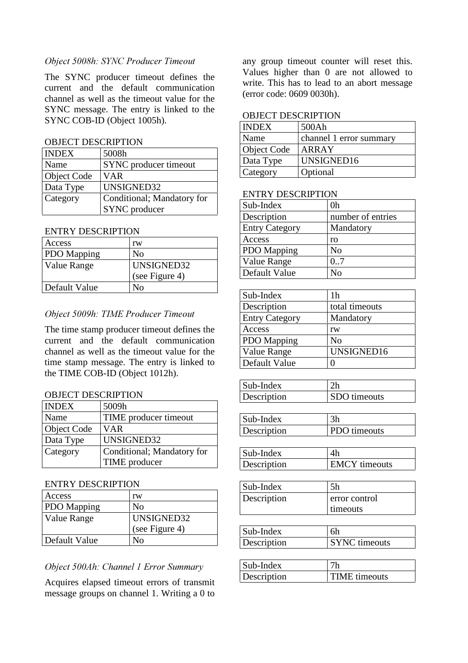## Object 5008h: SYNC Producer Timeout

The SYNC producer timeout defines the current and the default communication channel as well as the timeout value for the SYNC message. The entry is linked to the SYNC COB-ID (Object 1005h).

## OBJECT DESCRIPTION

| <b>INDEX</b>       | 5008h                      |
|--------------------|----------------------------|
| Name               | SYNC producer timeout      |
| <b>Object Code</b> | <b>VAR</b>                 |
| Data Type          | UNSIGNED32                 |
| Category           | Conditional; Mandatory for |
|                    | SYNC producer              |

## ENTRY DESCRIPTION

| Access             | rw             |
|--------------------|----------------|
| <b>PDO</b> Mapping | No             |
| Value Range        | UNSIGNED32     |
|                    | (see Figure 4) |
| Default Value      | Nο             |

## Object 5009h: TIME Producer Timeout

The time stamp producer timeout defines the current and the default communication channel as well as the timeout value for the time stamp message. The entry is linked to the TIME COB-ID (Object 1012h).

#### OBJECT DESCRIPTION

| <b>INDEX</b>       | 5009h                      |
|--------------------|----------------------------|
| Name               | TIME producer timeout      |
| <b>Object Code</b> | VAR                        |
| Data Type          | UNSIGNED32                 |
| Category           | Conditional; Mandatory for |
|                    | TIME producer              |

#### ENTRY DESCRIPTION

| Access             | rw                |
|--------------------|-------------------|
| <b>PDO</b> Mapping | N <sub>0</sub>    |
| Value Range        | <b>UNSIGNED32</b> |
|                    | (see Figure 4)    |
| Default Value      | Nο                |

## Object 500Ah: Channel 1 Error Summary

Acquires elapsed timeout errors of transmit message groups on channel 1. Writing a 0 to

any group timeout counter will reset this. Values higher than 0 are not allowed to write. This has to lead to an abort message (error code: 0609 0030h).

#### OBJECT DESCRIPTION

| <b>INDEX</b> | 500Ah                   |
|--------------|-------------------------|
| Name         | channel 1 error summary |
| Object Code  | ARRAY                   |
| Data Type    | UNSIGNED16              |
| Category     | Optional                |

## ENTRY DESCRIPTION

| Sub-Index             | 0h                |
|-----------------------|-------------------|
| Description           | number of entries |
| <b>Entry Category</b> | Mandatory         |
| Access                | ro                |
| PDO Mapping           | N <sub>0</sub>    |
| Value Range           | 0.7               |
| Default Value         | N٥                |

| Sub-Index             | 1h             |
|-----------------------|----------------|
| Description           | total timeouts |
| <b>Entry Category</b> | Mandatory      |
| Access                | rw             |
| <b>PDO</b> Mapping    | N <sub>0</sub> |
| Value Range           | UNSIGNED16     |
| Default Value         | 0              |

| Sub-Index   | 2 <sub>h</sub>      |
|-------------|---------------------|
| Description | <b>SDO</b> timeouts |

| Sub-Index   | 3h                  |
|-------------|---------------------|
| Description | <b>PDO</b> timeouts |

| Sub-Index   |                      |
|-------------|----------------------|
| Description | <b>EMCY</b> timeouts |

| Sub-Index   | 5h              |
|-------------|-----------------|
| Description | error control   |
|             | <i>timeouts</i> |

| Sub-Index   | 6h                   |
|-------------|----------------------|
| Description | <b>SYNC</b> timeouts |

| $\vert$ Sub-Index |                      |
|-------------------|----------------------|
| Description       | <b>TIME</b> timeouts |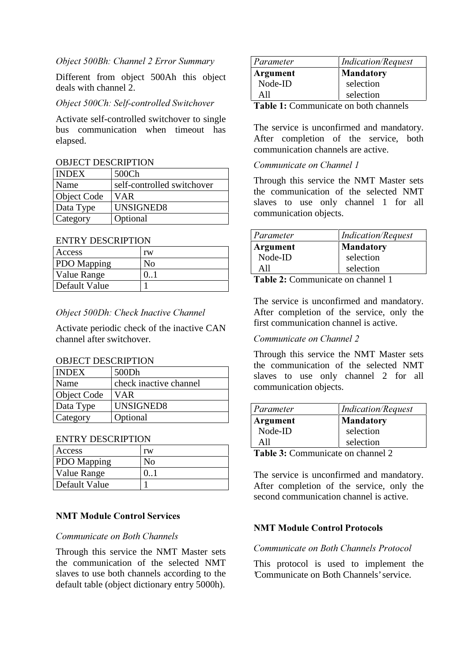## Object 500Bh: Channel 2 Error Summary

Different from object 500Ah this object deals with channel 2.

# Obiect 500Ch: Self-controlled Switchover

Activate self-controlled switchover to single bus communication when timeout has elapsed.

## OBJECT DESCRIPTION

| <b>INDEX</b> | 500Ch                      |
|--------------|----------------------------|
| Name         | self-controlled switchover |
| Object Code  | <b>VAR</b>                 |
| Data Type    | UNSIGNED8                  |
| Category     | Optional                   |

#### ENTRY DESCRIPTION

| Access             | rw |
|--------------------|----|
| <b>PDO</b> Mapping | Nο |
| <b>Value Range</b> |    |
| Default Value      |    |

## Object 500Dh: Check Inactive Channel

Activate periodic check of the inactive CAN channel after switchover.

#### OBJECT DESCRIPTION

| <b>INDEX</b>    | 500Dh                  |
|-----------------|------------------------|
| Name            | check inactive channel |
| Object Code     | VAR                    |
| Data Type       | UNSIGNED8              |
| <b>Category</b> | Optional               |

## ENTRY DESCRIPTION

| Access             | rw  |
|--------------------|-----|
| <b>PDO</b> Mapping | Nο  |
| Value Range        | 0.1 |
| Default Value      |     |

# **NMT Module Control Services**

#### Communicate on Both Channels

Through this service the NMT Master sets the communication of the selected NMT slaves to use both channels according to the default table (object dictionary entry 5000h).

| Parameter | <i>Indication/Request</i> |
|-----------|---------------------------|
| Argument  | <b>Mandatory</b>          |
| Node-ID   | selection                 |
| All       | selection                 |

**Table 1:** Communicate on both channels

The service is unconfirmed and mandatory. After completion of the service, both communication channels are active.

#### Communicate on Channel 1

Through this service the NMT Master sets the communication of the selected NMT slaves to use only channel 1 for all communication objects.

| Parameter | <b>Indication/Request</b> |
|-----------|---------------------------|
| Argument  | <b>Mandatory</b>          |
| Node-ID   | selection                 |
| All       | selection                 |
|           |                           |

Table 2: Communicate on channel 1

The service is unconfirmed and mandatory. After completion of the service, only the first communication channel is active.

#### Communicate on Channel 2

Through this service the NMT Master sets the communication of the selected NMT slaves to use only channel 2 for all communication objects.

| Parameter                         | <i>Indication</i> /Request |
|-----------------------------------|----------------------------|
| Argument                          | <b>Mandatory</b>           |
| Node-ID                           | selection                  |
| All                               | selection                  |
| Table 2. Communicate on abonnel 2 |                            |

**Table 3:** Communicate on channel 2

The service is unconfirmed and mandatory. After completion of the service, only the second communication channel is active.

#### **NMT Module Control Protocols**

#### Communicate on Both Channels Protocol

This protocol is used to implement the 'Communicate on Both Channels'service.